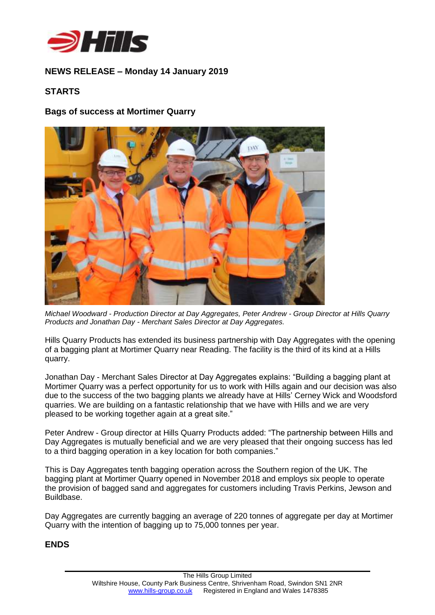

# **NEWS RELEASE – Monday 14 January 2019**

# **STARTS**

## **Bags of success at Mortimer Quarry**



*Michael Woodward - Production Director at Day Aggregates, Peter Andrew - Group Director at Hills Quarry Products and Jonathan Day - Merchant Sales Director at Day Aggregates.*

Hills Quarry Products has extended its business partnership with Day Aggregates with the opening of a bagging plant at Mortimer Quarry near Reading. The facility is the third of its kind at a Hills quarry.

Jonathan Day - Merchant Sales Director at Day Aggregates explains: "Building a bagging plant at Mortimer Quarry was a perfect opportunity for us to work with Hills again and our decision was also due to the success of the two bagging plants we already have at Hills' Cerney Wick and Woodsford quarries. We are building on a fantastic relationship that we have with Hills and we are very pleased to be working together again at a great site."

Peter Andrew - Group director at Hills Quarry Products added: "The partnership between Hills and Day Aggregates is mutually beneficial and we are very pleased that their ongoing success has led to a third bagging operation in a key location for both companies."

This is Day Aggregates tenth bagging operation across the Southern region of the UK. The bagging plant at Mortimer Quarry opened in November 2018 and employs six people to operate the provision of bagged sand and aggregates for customers including Travis Perkins, Jewson and Buildbase.

Day Aggregates are currently bagging an average of 220 tonnes of aggregate per day at Mortimer Quarry with the intention of bagging up to 75,000 tonnes per year.

### **ENDS**